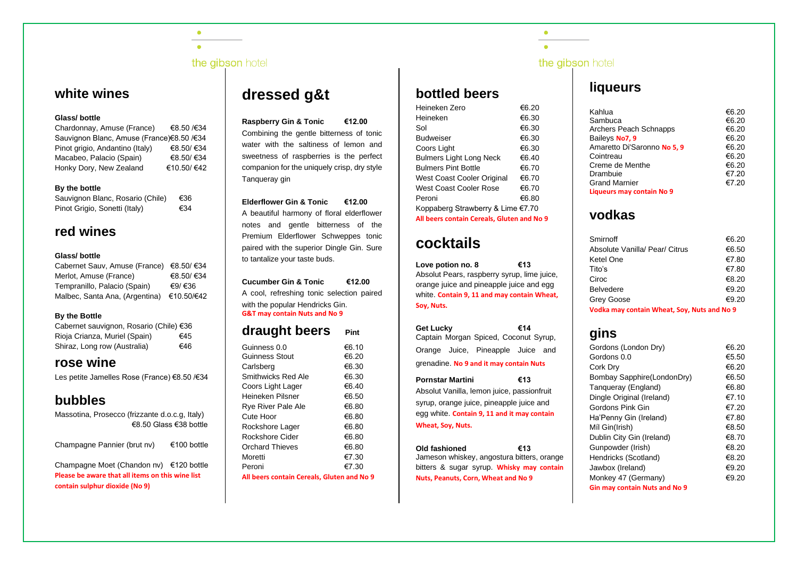$\bullet$ 

## **white wines**

### **Glass/ bottle**

| Chardonnay, Amuse (France)                | €8.50 /€34 |
|-------------------------------------------|------------|
| Sauvignon Blanc, Amuse (France)€8.50 /€34 |            |
| Pinot grigio, Andantino (Italy)           | €8.50/€34  |
| Macabeo, Palacio (Spain)                  | €8.50/€34  |
| Honky Dory, New Zealand                   | €10.50/€42 |

### **By the bottle**

| Sauvignon Blanc, Rosario (Chile) | €36 |
|----------------------------------|-----|
| Pinot Grigio, Sonetti (Italy)    | €34 |

## **red wines**

### **Glass/ bottle**

| Cabernet Sauv, Amuse (France) €8.50/ €34 |            |
|------------------------------------------|------------|
| Merlot, Amuse (France)                   | €8.50/€34  |
| Tempranillo, Palacio (Spain)             | €9/€36     |
| Malbec, Santa Ana, (Argentina)           | €10.50/€42 |

### **By the Bottle**

| Cabernet sauvignon, Rosario (Chile) €36 |     |
|-----------------------------------------|-----|
| Rioja Crianza, Muriel (Spain)           | €45 |
| Shiraz, Long row (Australia)            | €46 |

## **rose wine**

Les petite Jamelles Rose (France) €8.50 /€34

## **bubbles**

Massotina, Prosecco (frizzante d.o.c.g, Italy) €8.50 Glass €38 bottle

Champagne Pannier (brut nv) €100 bottle

Champagne Moet (Chandon nv) €120 bottle **Please be aware that all items on this wine list contain sulphur dioxide (No 9)**

## **dressed g&t**

**Raspberry Gin & Tonic €12.00**  Combining the gentle bitterness of tonic water with the saltiness of lemon and sweetness of raspberries is the perfect companion for the uniquely crisp, dry style Tanqueray gin

### **Elderflower Gin & Tonic €12.00**

A beautiful harmony of floral elderflower notes and gentle bitterness of the Premium Elderflower Schweppes tonic paired with the superior Dingle Gin. Sure to tantalize your taste buds.

### **Cucumber Gin & Tonic €12.00**

A cool, refreshing tonic selection paired with the popular Hendricks Gin. **G&T may contain Nuts and No 9**

## **draught beers Pint**

| Guinness 0.0                               | €6.10 |
|--------------------------------------------|-------|
| Guinness Stout                             | €6.20 |
| Carlsberg                                  | €6.30 |
| Smithwicks Red Ale                         | €6.30 |
| Coors Light Lager                          | €6.40 |
| Heineken Pilsner                           | €6.50 |
| Rye River Pale Ale                         | €6.80 |
| Cute Hoor                                  | €6.80 |
| Rockshore Lager                            | €6.80 |
| Rockshore Cider                            | €6.80 |
| Orchard Thieves                            | €6.80 |
| Moretti                                    | €7.30 |
| Peroni                                     | €7.30 |
| All beers contain Cereals, Gluten and No 9 |       |

### the gibson hotel

 $\bullet$ 

 $\bullet$ 

## **bottled beers**

| Heineken Zero                              | €6.20 |
|--------------------------------------------|-------|
| Heineken                                   | €6.30 |
| Sol                                        | €6.30 |
| <b>Budweiser</b>                           | €6.30 |
| Coors Light                                | €6.30 |
| <b>Bulmers Light Long Neck</b>             | €6.40 |
| <b>Bulmers Pint Bottle</b>                 | €6.70 |
| West Coast Cooler Original                 | €6.70 |
| West Coast Cooler Rose                     | €6.70 |
| Peroni                                     | €6.80 |
| Koppaberg Strawberry & Lime €7.70          |       |
| All beers contain Cereals, Gluten and No 9 |       |

# **cocktails**

**Love potion no. 8 €13** Absolut Pears, raspberry syrup, lime juice, orange juice and pineapple juice and egg white. **Contain 9, 11 and may contain Wheat, Soy, Nuts.**

### **Get Lucky €14** Captain Morgan Spiced, Coconut Syrup, Orange Juice, Pineapple Juice and grenadine. **No 9 and it may contain Nuts**

### **Pornstar Martini €13** Absolut Vanilla, lemon juice, passionfruit syrup, orange juice, pineapple juice and egg white. **Contain 9, 11 and it may contain Wheat, Soy, Nuts.**

**Old fashioned €13** Jameson whiskey, angostura bitters, orange bitters & sugar syrup. **Whisky may contain Nuts, Peanuts, Corn, Wheat and No 9**

## **liqueurs**

| Kahlua                           | €6.20 |
|----------------------------------|-------|
| Sambuca                          | €6.20 |
| Archers Peach Schnapps           | €6.20 |
| Baileys No7, 9                   | €6.20 |
| Amaretto Di'Saronno No 5, 9      | €6.20 |
| Cointreau                        | €6.20 |
| Creme de Menthe                  | €6.20 |
| Drambuie                         | €7.20 |
| <b>Grand Marnier</b>             | €7.20 |
| <b>Liqueurs may contain No 9</b> |       |

## **vodkas**

| Smirnoff                       | €6.20 |
|--------------------------------|-------|
| Absolute Vanilla/ Pear/ Citrus | €6.50 |
| Ketel One                      | €7.80 |
| Tito's                         | €7.80 |
| Ciroc                          | €8.20 |
| <b>Belvedere</b>               | €9.20 |
| Grey Goose                     | €9.20 |
|                                |       |

**Vodka may contain Wheat, Soy, Nuts and No 9**

## **gins**

| Gordons (London Dry)                 | €6.20 |
|--------------------------------------|-------|
| Gordons 0.0                          | €5.50 |
| Cork Dry                             | €6.20 |
| Bombay Sapphire(LondonDry)           | €6.50 |
| Tangueray (England)                  | €6.80 |
| Dingle Original (Ireland)            | €7.10 |
| Gordons Pink Gin                     | €7.20 |
| Ha'Penny Gin (Ireland)               | €7.80 |
| Míl Gin(Irish)                       | €8.50 |
| Dublin City Gin (Ireland)            | €8.70 |
| Gunpowder (Irish)                    | €8.20 |
| Hendricks (Scotland)                 | €8.20 |
| Jawbox (Ireland)                     | €9.20 |
| Monkey 47 (Germany)                  | €9.20 |
| <b>Gin may contain Nuts and No 9</b> |       |